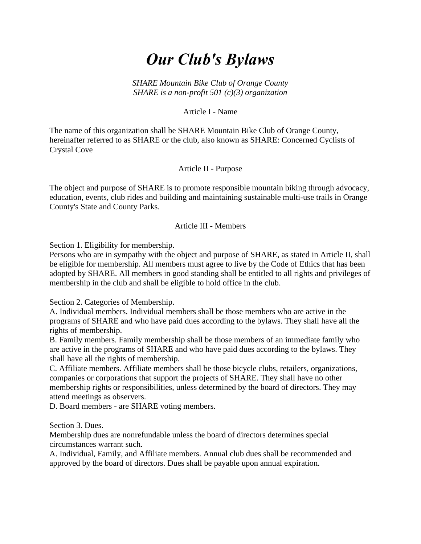# *Our Club's Bylaws*

*SHARE Mountain Bike Club of Orange County SHARE is a non-profit 501 (c)(3) organization*

Article I - Name

The name of this organization shall be SHARE Mountain Bike Club of Orange County, hereinafter referred to as SHARE or the club, also known as SHARE: Concerned Cyclists of Crystal Cove

Article II - Purpose

The object and purpose of SHARE is to promote responsible mountain biking through advocacy, education, events, club rides and building and maintaining sustainable multi-use trails in Orange County's State and County Parks.

#### Article III - Members

Section 1. Eligibility for membership.

Persons who are in sympathy with the object and purpose of SHARE, as stated in Article II, shall be eligible for membership. All members must agree to live by the Code of Ethics that has been adopted by SHARE. All members in good standing shall be entitled to all rights and privileges of membership in the club and shall be eligible to hold office in the club.

Section 2. Categories of Membership.

A. Individual members. Individual members shall be those members who are active in the programs of SHARE and who have paid dues according to the bylaws. They shall have all the rights of membership.

B. Family members. Family membership shall be those members of an immediate family who are active in the programs of SHARE and who have paid dues according to the bylaws. They shall have all the rights of membership.

C. Affiliate members. Affiliate members shall be those bicycle clubs, retailers, organizations, companies or corporations that support the projects of SHARE. They shall have no other membership rights or responsibilities, unless determined by the board of directors. They may attend meetings as observers.

D. Board members - are SHARE voting members.

Section 3. Dues.

Membership dues are nonrefundable unless the board of directors determines special circumstances warrant such.

A. Individual, Family, and Affiliate members. Annual club dues shall be recommended and approved by the board of directors. Dues shall be payable upon annual expiration.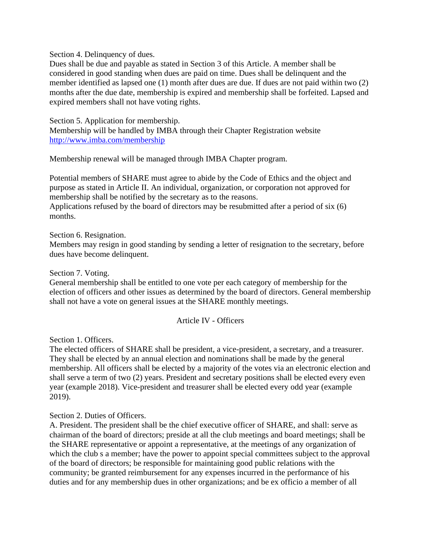Section 4. Delinquency of dues.

Dues shall be due and payable as stated in Section 3 of this Article. A member shall be considered in good standing when dues are paid on time. Dues shall be delinquent and the member identified as lapsed one (1) month after dues are due. If dues are not paid within two (2) months after the due date, membership is expired and membership shall be forfeited. Lapsed and expired members shall not have voting rights.

Section 5. Application for membership. Membership will be handled by IMBA through their Chapter Registration website <http://www.imba.com/membership>

Membership renewal will be managed through IMBA Chapter program.

Potential members of SHARE must agree to abide by the Code of Ethics and the object and purpose as stated in Article II. An individual, organization, or corporation not approved for membership shall be notified by the secretary as to the reasons.

Applications refused by the board of directors may be resubmitted after a period of six (6) months.

Section 6. Resignation.

Members may resign in good standing by sending a letter of resignation to the secretary, before dues have become delinquent.

Section 7. Voting.

General membership shall be entitled to one vote per each category of membership for the election of officers and other issues as determined by the board of directors. General membership shall not have a vote on general issues at the SHARE monthly meetings.

#### Article IV - Officers

Section 1. Officers.

The elected officers of SHARE shall be president, a vice-president, a secretary, and a treasurer. They shall be elected by an annual election and nominations shall be made by the general membership. All officers shall be elected by a majority of the votes via an electronic election and shall serve a term of two (2) years. President and secretary positions shall be elected every even year (example 2018). Vice-president and treasurer shall be elected every odd year (example 2019).

Section 2. Duties of Officers.

A. President. The president shall be the chief executive officer of SHARE, and shall: serve as chairman of the board of directors; preside at all the club meetings and board meetings; shall be the SHARE representative or appoint a representative, at the meetings of any organization of which the club s a member; have the power to appoint special committees subject to the approval of the board of directors; be responsible for maintaining good public relations with the community; be granted reimbursement for any expenses incurred in the performance of his duties and for any membership dues in other organizations; and be ex officio a member of all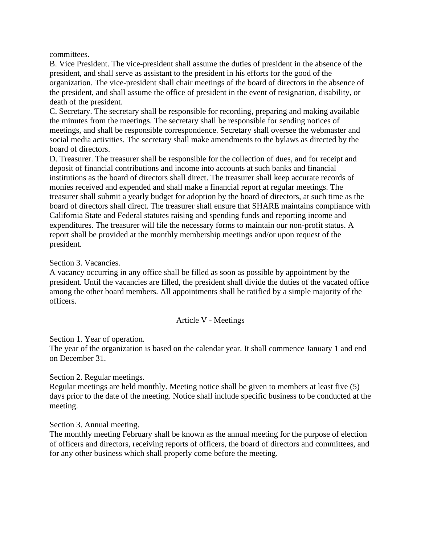committees.

B. Vice President. The vice-president shall assume the duties of president in the absence of the president, and shall serve as assistant to the president in his efforts for the good of the organization. The vice-president shall chair meetings of the board of directors in the absence of the president, and shall assume the office of president in the event of resignation, disability, or death of the president.

C. Secretary. The secretary shall be responsible for recording, preparing and making available the minutes from the meetings. The secretary shall be responsible for sending notices of meetings, and shall be responsible correspondence. Secretary shall oversee the webmaster and social media activities. The secretary shall make amendments to the bylaws as directed by the board of directors.

D. Treasurer. The treasurer shall be responsible for the collection of dues, and for receipt and deposit of financial contributions and income into accounts at such banks and financial institutions as the board of directors shall direct. The treasurer shall keep accurate records of monies received and expended and shall make a financial report at regular meetings. The treasurer shall submit a yearly budget for adoption by the board of directors, at such time as the board of directors shall direct. The treasurer shall ensure that SHARE maintains compliance with California State and Federal statutes raising and spending funds and reporting income and expenditures. The treasurer will file the necessary forms to maintain our non-profit status. A report shall be provided at the monthly membership meetings and/or upon request of the president.

#### Section 3. Vacancies.

A vacancy occurring in any office shall be filled as soon as possible by appointment by the president. Until the vacancies are filled, the president shall divide the duties of the vacated office among the other board members. All appointments shall be ratified by a simple majority of the officers.

#### Article V - Meetings

Section 1. Year of operation.

The year of the organization is based on the calendar year. It shall commence January 1 and end on December 31.

Section 2. Regular meetings.

Regular meetings are held monthly. Meeting notice shall be given to members at least five (5) days prior to the date of the meeting. Notice shall include specific business to be conducted at the meeting.

Section 3. Annual meeting.

The monthly meeting February shall be known as the annual meeting for the purpose of election of officers and directors, receiving reports of officers, the board of directors and committees, and for any other business which shall properly come before the meeting.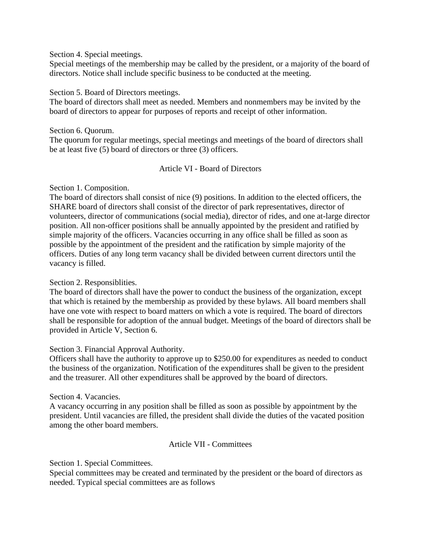Section 4. Special meetings.

Special meetings of the membership may be called by the president, or a majority of the board of directors. Notice shall include specific business to be conducted at the meeting.

Section 5. Board of Directors meetings.

The board of directors shall meet as needed. Members and nonmembers may be invited by the board of directors to appear for purposes of reports and receipt of other information.

Section 6. Quorum. The quorum for regular meetings, special meetings and meetings of the board of directors shall be at least five (5) board of directors or three (3) officers.

# Article VI - Board of Directors

# Section 1. Composition.

The board of directors shall consist of nice (9) positions. In addition to the elected officers, the SHARE board of directors shall consist of the director of park representatives, director of volunteers, director of communications (social media), director of rides, and one at-large director position. All non-officer positions shall be annually appointed by the president and ratified by simple majority of the officers. Vacancies occurring in any office shall be filled as soon as possible by the appointment of the president and the ratification by simple majority of the officers. Duties of any long term vacancy shall be divided between current directors until the vacancy is filled.

# Section 2. Responsiblities.

The board of directors shall have the power to conduct the business of the organization, except that which is retained by the membership as provided by these bylaws. All board members shall have one vote with respect to board matters on which a vote is required. The board of directors shall be responsible for adoption of the annual budget. Meetings of the board of directors shall be provided in Article V, Section 6.

#### Section 3. Financial Approval Authority.

Officers shall have the authority to approve up to \$250.00 for expenditures as needed to conduct the business of the organization. Notification of the expenditures shall be given to the president and the treasurer. All other expenditures shall be approved by the board of directors.

# Section 4. Vacancies.

A vacancy occurring in any position shall be filled as soon as possible by appointment by the president. Until vacancies are filled, the president shall divide the duties of the vacated position among the other board members.

# Article VII - Committees

Section 1. Special Committees.

Special committees may be created and terminated by the president or the board of directors as needed. Typical special committees are as follows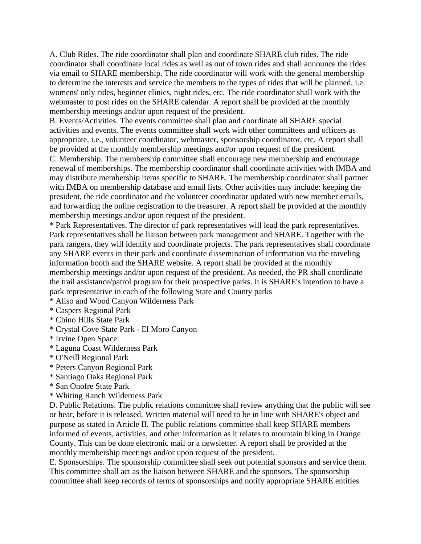A. Club Rides. The ride coordinator shall plan and coordinate SHARE club rides. The ride coordinator shall coordinate local rides as well as out of town rides and shall announce the rides via email to SHARE membership. The ride coordinator will work with the general membership to determine the interests and service the members to the types of rides that will be planned, i.e. womens' only rides, beginner clinics, night rides, etc. The ride coordinator shall work with the webmaster to post rides on the SHARE calendar. A report shall be provided at the monthly membership meetings and/or upon request of the president.

B. Events/Activities. The events committee shall plan and coordinate all SHARE special activities and events. The events committee shall work with other committees and officers as appropriate, i.e., volunteer coordinator, webmaster, sponsorship coordinator, etc. A report shall be provided at the monthly membership meetings and/or upon request of the president.

C. Membership. The membership committee shall encourage new membership and encourage renewal of memberships. The membership coordinator shall coordinate activities with IMBA and may distribute membership items specific to SHARE. The membership coordinator shall partner with IMBA on membership database and email lists. Other activities may include: keeping the president, the ride coordinator and the volunteer coordinator updated with new member emails, and forwarding the online registration to the treasurer. A report shall be provided at the monthly membership meetings and/or upon request of the president.

\* Park Representatives. The director of park representatives will lead the park representatives. Park representatives shall be liaison between park management and SHARE. Together with the park rangers, they will identify and coordinate projects. The park representatives shall coordinate any SHARE events in their park and coordinate dissemination of information via the traveling information booth and the SHARE website. A report shall be provided at the monthly membership meetings and/or upon request of the president. As needed, the PR shall coordinate the trail assistance/patrol program for their prospective parks. It is SHARE's intention to have a park representative in each of the following State and County parks

\* Aliso and Wood Canyon Wilderness Park

\* Caspers Regional Park

- \* Chino Hills State Park
- \* Crystal Cove State Park El Moro Canyon
- \* Irvine Open Space
- \* Laguna Coast Wilderness Park
- \* O'Neill Regional Park
- \* Peters Canyon Regional Park
- \* Santiago Oaks Regional Park
- \* San Onofre State Park
- \* Whiting Ranch Wilderness Park

D. Public Relations. The public relations committee shall review anything that the public will see or hear, before it is released. Written material will need to be in line with SHARE's object and purpose as stated in Article II. The public relations committee shall keep SHARE members informed of events, activities, and other information as it relates to mountain biking in Orange County. This can be done electronic mail or a newsletter. A report shall be provided at the monthly membership meetings and/or upon request of the president.

E. Sponsorships. The sponsorship committee shall seek out potential sponsors and service them. This committee shall act as the liaison between SHARE and the sponsors. The sponsorship committee shall keep records of terms of sponsorships and notify appropriate SHARE entities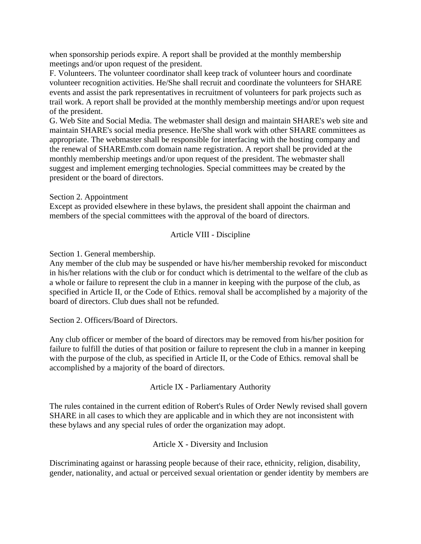when sponsorship periods expire. A report shall be provided at the monthly membership meetings and/or upon request of the president.

F. Volunteers. The volunteer coordinator shall keep track of volunteer hours and coordinate volunteer recognition activities. He/She shall recruit and coordinate the volunteers for SHARE events and assist the park representatives in recruitment of volunteers for park projects such as trail work. A report shall be provided at the monthly membership meetings and/or upon request of the president.

G. Web Site and Social Media. The webmaster shall design and maintain SHARE's web site and maintain SHARE's social media presence. He/She shall work with other SHARE committees as appropriate. The webmaster shall be responsible for interfacing with the hosting company and the renewal of SHAREmtb.com domain name registration. A report shall be provided at the monthly membership meetings and/or upon request of the president. The webmaster shall suggest and implement emerging technologies. Special committees may be created by the president or the board of directors.

Section 2. Appointment

Except as provided elsewhere in these bylaws, the president shall appoint the chairman and members of the special committees with the approval of the board of directors.

Article VIII - Discipline

Section 1. General membership.

Any member of the club may be suspended or have his/her membership revoked for misconduct in his/her relations with the club or for conduct which is detrimental to the welfare of the club as a whole or failure to represent the club in a manner in keeping with the purpose of the club, as specified in Article II, or the Code of Ethics. removal shall be accomplished by a majority of the board of directors. Club dues shall not be refunded.

Section 2. Officers/Board of Directors.

Any club officer or member of the board of directors may be removed from his/her position for failure to fulfill the duties of that position or failure to represent the club in a manner in keeping with the purpose of the club, as specified in Article II, or the Code of Ethics. removal shall be accomplished by a majority of the board of directors.

Article IX - Parliamentary Authority

The rules contained in the current edition of Robert's Rules of Order Newly revised shall govern SHARE in all cases to which they are applicable and in which they are not inconsistent with these bylaws and any special rules of order the organization may adopt.

Article X - Diversity and Inclusion

Discriminating against or harassing people because of their race, ethnicity, religion, disability, gender, nationality, and actual or perceived sexual orientation or gender identity by members are